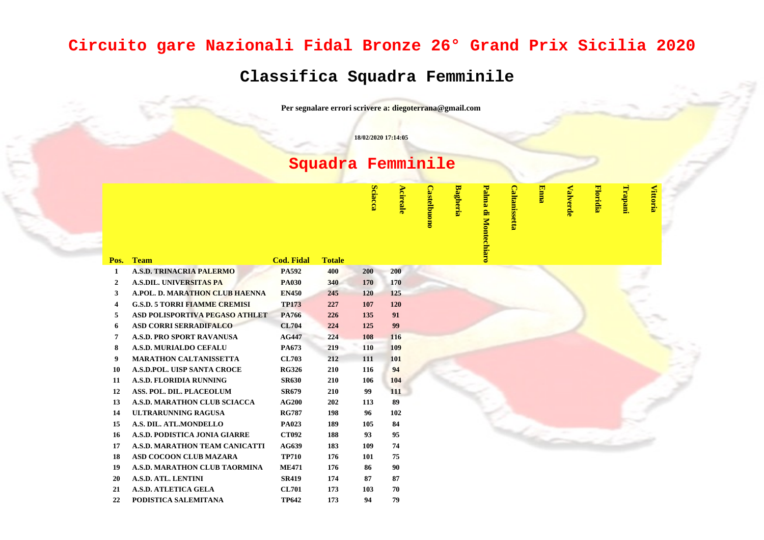## **Circuito gare Nazionali Fidal Bronze 26° Grand Prix Sicilia 2020**

## **Classifica Squadra Femminile**

**Per segnalare errori scrivere a: diegoterrana@gmail.com**

**18/02/2020 17:14:05**

## **Squadra Femminile**

**Sciacca Acireale**

**Castelbuono**

**Castelbuono** 

**Bagheria**

**Palma di Montechiaro** Palma di Montechiaro **Caltanissetta**

Caltanissetta

**Enna**

**Valverde**

**Floridia**

**Trapani**

**Vittoria**

| Pos.                    | <b>Team</b>                           | <b>Cod. Fidal</b> | <b>Totale</b> |     |     |  |
|-------------------------|---------------------------------------|-------------------|---------------|-----|-----|--|
| $\mathbf{1}$            | <b>A.S.D. TRINACRIA PALERMO</b>       | <b>PA592</b>      | 400           | 200 | 200 |  |
| $\overline{2}$          | <b>A.S.DIL. UNIVERSITAS PA</b>        | <b>PA030</b>      | 340           | 170 | 170 |  |
| 3                       | <b>A.POL. D. MARATHON CLUB HAENNA</b> | <b>EN450</b>      | 245           | 120 | 125 |  |
| $\overline{\mathbf{4}}$ | <b>G.S.D. 5 TORRI FIAMME CREMISI</b>  | <b>TP173</b>      | 227           | 107 | 120 |  |
| 5                       | ASD POLISPORTIVA PEGASO ATHLET        | <b>PA766</b>      | 226           | 135 | 91  |  |
| 6                       | <b>ASD CORRI SERRADIFALCO</b>         | <b>CL704</b>      | 224           | 125 | 99  |  |
| 7                       | A.S.D. PRO SPORT RAVANUSA             | <b>AG447</b>      | 224           | 108 | 116 |  |
| 8                       | A.S.D. MURIALDO CEFALU                | <b>PA673</b>      | 219           | 110 | 109 |  |
| 9                       | <b>MARATHON CALTANISSETTA</b>         | <b>CL703</b>      | 212           | 111 | 101 |  |
| 10                      | <b>A.S.D.POL. UISP SANTA CROCE</b>    | <b>RG326</b>      | 210           | 116 | 94  |  |
| 11                      | <b>A.S.D. FLORIDIA RUNNING</b>        | <b>SR630</b>      | 210           | 106 | 104 |  |
| 12                      | ASS. POL. DIL. PLACEOLUM              | <b>SR679</b>      | 210           | 99  | 111 |  |
| 13                      | A.S.D. MARATHON CLUB SCIACCA          | <b>AG200</b>      | 202           | 113 | 89  |  |
| 14                      | ULTRARUNNING RAGUSA                   | <b>RG787</b>      | 198           | 96  | 102 |  |
| 15                      | A.S. DIL. ATL.MONDELLO                | <b>PA023</b>      | 189           | 105 | 84  |  |
| 16                      | A.S.D. PODISTICA JONIA GIARRE         | <b>CT092</b>      | 188           | 93  | 95  |  |
| 17                      | A.S.D. MARATHON TEAM CANICATTI        | <b>AG639</b>      | 183           | 109 | 74  |  |
| 18                      | ASD COCOON CLUB MAZARA                | <b>TP710</b>      | 176           | 101 | 75  |  |
| 19                      | A.S.D. MARATHON CLUB TAORMINA         | <b>ME471</b>      | 176           | 86  | 90  |  |
| 20                      | <b>A.S.D. ATL. LENTINI</b>            | <b>SR419</b>      | 174           | 87  | 87  |  |
| 21                      | <b>A.S.D. ATLETICA GELA</b>           | <b>CL701</b>      | 173           | 103 | 70  |  |
| 22                      | PODISTICA SALEMITANA                  | <b>TP642</b>      | 173           | 94  | 79  |  |
|                         |                                       |                   |               |     |     |  |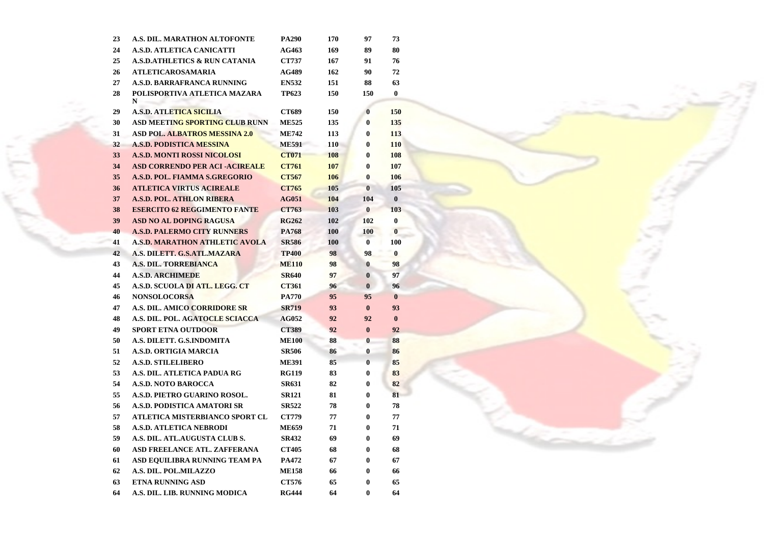| 23 | A.S. DIL. MARATHON ALTOFONTE             | <b>PA290</b> | 170 | 97       | 73       |
|----|------------------------------------------|--------------|-----|----------|----------|
| 24 | <b>A.S.D. ATLETICA CANICATTI</b>         | AG463        | 169 | 89       | 80       |
| 25 | <b>A.S.D.ATHLETICS &amp; RUN CATANIA</b> | <b>CT737</b> | 167 | 91       | 76       |
| 26 | <b>ATLETICAROSAMARIA</b>                 | <b>AG489</b> | 162 | 90       | 72       |
| 27 | <b>A.S.D. BARRAFRANCA RUNNING</b>        | <b>EN532</b> | 151 | 88       | 63       |
| 28 | POLISPORTIVA ATLETICA MAZARA<br>N        | <b>TP623</b> | 150 | 150      | 0        |
| 29 | <b>A.S.D. ATLETICA SICILIA</b>           | CT689        | 150 | 0        | 150      |
| 30 | <b>ASD MEETING SPORTING CLUB RUNN</b>    | <b>ME525</b> | 135 | 0        | 135      |
| 31 | <b>ASD POL. ALBATROS MESSINA 2.0</b>     | <b>ME742</b> | 113 | $\bf{0}$ | 113      |
| 32 | <b>A.S.D. PODISTICA MESSINA</b>          | <b>ME591</b> | 110 | $\bf{0}$ | 110      |
| 33 | <b>A.S.D. MONTI ROSSI NICOLOSI</b>       | <b>CT071</b> | 108 | $\bf{0}$ | 108      |
| 34 | <b>ASD CORRENDO PER ACI-ACIREALE</b>     | <b>CT761</b> | 107 | $\bf{0}$ | 107      |
| 35 | A.S.D. POL. FIAMMA S.GREGORIO            | <b>CT567</b> | 106 | $\bf{0}$ | 106      |
| 36 | <b>ATLETICA VIRTUS ACIREALE</b>          | <b>CT765</b> | 105 | $\bf{0}$ | 105      |
| 37 | <b>A.S.D. POL. ATHLON RIBERA</b>         | <b>AG051</b> | 104 | 104      | $\bf{0}$ |
| 38 | <b>ESERCITO 62 REGGIMENTO FANTE</b>      | <b>CT763</b> | 103 | $\bf{0}$ | 103      |
| 39 | <b>ASD NO AL DOPING RAGUSA</b>           | <b>RG262</b> | 102 | 102      | $\bf{0}$ |
| 40 | <b>A.S.D. PALERMO CITY RUNNERS</b>       | <b>PA768</b> | 100 | 100      | $\bf{0}$ |
| 41 | <b>A.S.D. MARATHON ATHLETIC AVOLA</b>    | <b>SR586</b> | 100 | $\bf{0}$ | 100      |
| 42 | A.S. DILETT. G.S.ATL.MAZARA              | <b>TP400</b> | 98  | 98       | $\bf{0}$ |
| 43 | <b>A.S. DIL. TORREBIANCA</b>             | <b>ME110</b> | 98  | $\bf{0}$ | 98       |
| 44 | <b>A.S.D. ARCHIMEDE</b>                  | <b>SR640</b> | 97  | $\bf{0}$ | 97       |
| 45 | A.S.D. SCUOLA DI ATL. LEGG. CT           | <b>CT361</b> | 96  | $\bf{0}$ | 96       |
| 46 | <b>NONSOLOCORSA</b>                      | <b>PA770</b> | 95  | 95       | $\bf{0}$ |
| 47 | <b>A.S. DIL. AMICO CORRIDORE SR</b>      | <b>SR719</b> | 93  | $\bf{0}$ | 93       |
| 48 | A.S. DIL. POL. AGATOCLE SCIACCA          | <b>AG052</b> | 92  | 92       | $\bf{0}$ |
| 49 | <b>SPORT ETNA OUTDOOR</b>                | <b>CT389</b> | 92  | $\bf{0}$ | 92       |
| 50 | A.S. DILETT. G.S.INDOMITA                | <b>ME100</b> | 88  | $\bf{0}$ | 88       |
| 51 | <b>A.S.D. ORTIGIA MARCIA</b>             | <b>SR506</b> | 86  | 0        | 86       |
| 52 | <b>A.S.D. STILELIBERO</b>                | <b>ME391</b> | 85  | $\bf{0}$ | 85       |
| 53 | A.S. DIL. ATLETICA PADUA RG              | <b>RG119</b> | 83  | 0        | 83       |
| 54 | <b>A.S.D. NOTO BAROCCA</b>               | <b>SR631</b> | 82  | 0        | 82       |
| 55 | A.S.D. PIETRO GUARINO ROSOL.             | <b>SR121</b> | 81  | 0        | 81       |
| 56 | A.S.D. PODISTICA AMATORI SR              | <b>SR522</b> | 78  | 0        | 78       |
| 57 | ATLETICA MISTERBIANCO SPORT CL           | <b>CT779</b> | 77  | 0        | 77       |
| 58 | <b>A.S.D. ATLETICA NEBRODI</b>           | <b>ME659</b> | 71  | 0        | 71       |
| 59 | A.S. DIL. ATL.AUGUSTA CLUB S.            | <b>SR432</b> | 69  | 0        | 69       |
| 60 | ASD FREELANCE ATL. ZAFFERANA             | <b>CT405</b> | 68  | 0        | 68       |
| 61 | ASD EQUILIBRA RUNNING TEAM PA            | <b>PA472</b> | 67  | 0        | 67       |
| 62 | A.S. DIL. POL.MILAZZO                    | <b>ME158</b> | 66  | 0        | 66       |
| 63 | <b>ETNA RUNNING ASD</b>                  | <b>CT576</b> | 65  | 0        | 65       |
| 64 | A.S. DIL. LIB. RUNNING MODICA            | <b>RG444</b> | 64  | 0        | 64       |
|    |                                          |              |     |          |          |